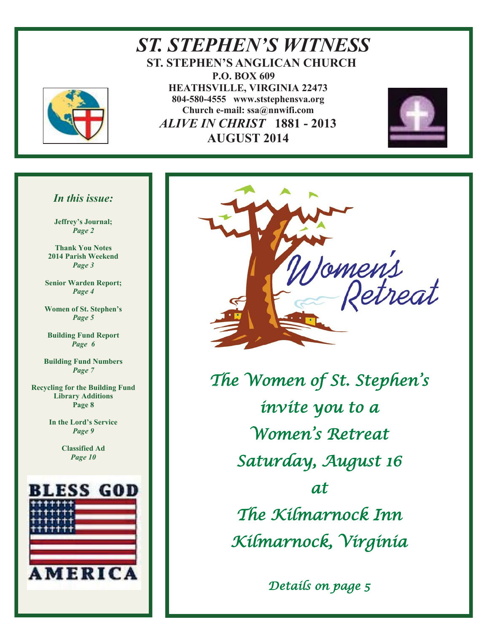

*ST. STEPHEN'S WITNESS*  **ST. STEPHEN'S ANGLICAN CHURCH P.O. BOX 609 HEATHSVILLE, VIRGINIA 22473 804-580-4555 www.ststephensva.org Church e-mail: ssa@nnwifi.com**   *ALIVE IN CHRIST* **1881 - 2013 AUGUST 2014**



#### *In this issue:*

**Jeffrey's Journal;** *Page 2* 

**Thank You Notes 2014 Parish Weekend**  *Page 3* 

**Senior Warden Report;**  *Page 4* 

**Women of St. Stephen's** *Page 5* 

**Building Fund Report**  *Page 6* 

**Building Fund Numbers**  *Page 7* 

**Recycling for the Building Fund Library Additions Page 8** 

> **In the Lord's Service** *Page 9*

> > **Classified Ad**  *Page 10*





The Women of St. Stephen ' s invite you to a Women ' s Retreat Saturday, August 16 at The Kilmarnock Inn Kilmarnock, Virginia

Details on page 5

Ī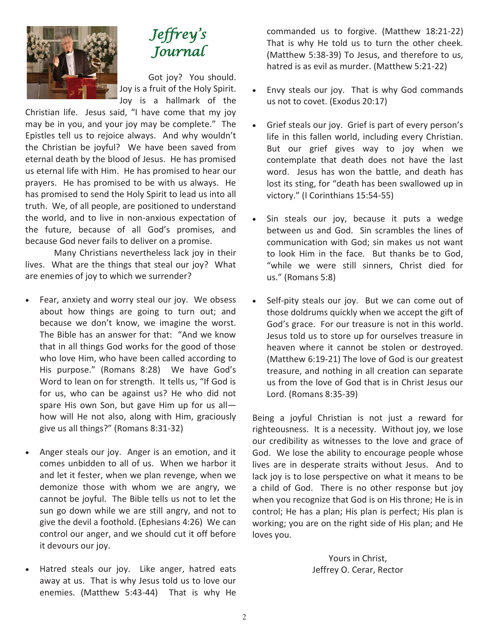

## Jeffrey ' s Journal

Got joy? You should. Joy is a fruit of the Holy Spirit. Joy is a hallmark of the

Christian life. Jesus said, "I have come that my joy may be in you, and your joy may be complete." The Epistles tell us to rejoice always. And why wouldn't the Christian be joyful? We have been saved from eternal death by the blood of Jesus. He has promised us eternal life with Him. He has promised to hear our prayers. He has promised to be with us always. He has promised to send the Holy Spirit to lead us into all truth. We, of all people, are positioned to understand the world, and to live in non-anxious expectation of the future, because of all God's promises, and because God never fails to deliver on a promise.

 Many Christians nevertheless lack joy in their lives. What are the things that steal our joy? What are enemies of joy to which we surrender?

- Fear, anxiety and worry steal our joy. We obsess about how things are going to turn out; and because we don't know, we imagine the worst. The Bible has an answer for that: "And we know that in all things God works for the good of those who love Him, who have been called according to His purpose." (Romans 8:28) We have God's Word to lean on for strength. It tells us, "If God is for us, who can be against us? He who did not spare His own Son, but gave Him up for us all how will He not also, along with Him, graciously give us all things?" (Romans 8:31-32)
- Anger steals our joy. Anger is an emotion, and it comes unbidden to all of us. When we harbor it and let it fester, when we plan revenge, when we demonize those with whom we are angry, we cannot be joyful. The Bible tells us not to let the sun go down while we are still angry, and not to give the devil a foothold. (Ephesians 4:26) We can control our anger, and we should cut it off before it devours our joy.
- Hatred steals our joy. Like anger, hatred eats away at us. That is why Jesus told us to love our enemies. (Matthew 5:43-44) That is why He

commanded us to forgive. (Matthew 18:21-22) That is why He told us to turn the other cheek. (Matthew 5:38-39) To Jesus, and therefore to us, hatred is as evil as murder. (Matthew 5:21-22)

- Envy steals our joy. That is why God commands us not to covet. (Exodus 20:17)
- Grief steals our joy. Grief is part of every person's life in this fallen world, including every Christian. But our grief gives way to joy when we contemplate that death does not have the last word. Jesus has won the battle, and death has lost its sting, for "death has been swallowed up in victory." (I Corinthians 15:54-55)
- Sin steals our joy, because it puts a wedge between us and God. Sin scrambles the lines of communication with God; sin makes us not want to look Him in the face. But thanks be to God, "while we were still sinners, Christ died for us." (Romans 5:8)
- Self-pity steals our joy. But we can come out of those doldrums quickly when we accept the gift of God's grace. For our treasure is not in this world. Jesus told us to store up for ourselves treasure in heaven where it cannot be stolen or destroyed. (Matthew 6:19-21) The love of God is our greatest treasure, and nothing in all creation can separate us from the love of God that is in Christ Jesus our Lord. (Romans 8:35-39)

Being a joyful Christian is not just a reward for righteousness. It is a necessity. Without joy, we lose our credibility as witnesses to the love and grace of God. We lose the ability to encourage people whose lives are in desperate straits without Jesus. And to lack joy is to lose perspective on what it means to be a child of God. There is no other response but joy when you recognize that God is on His throne; He is in control; He has a plan; His plan is perfect; His plan is working; you are on the right side of His plan; and He loves you.

> Yours in Christ, Jeffrey O. Cerar, Rector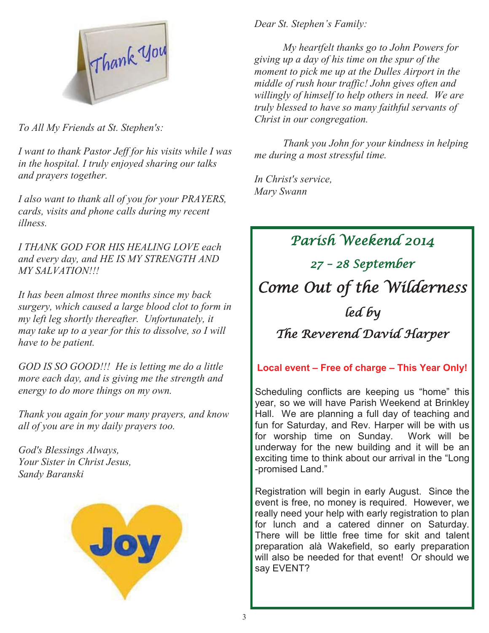

*To All My Friends at St. Stephen's:* 

*I want to thank Pastor Jeff for his visits while I was in the hospital. I truly enjoyed sharing our talks and prayers together.* 

*I also want to thank all of you for your PRAYERS, cards, visits and phone calls during my recent illness.* 

*I THANK GOD FOR HIS HEALING LOVE each and every day, and HE IS MY STRENGTH AND MY SALVATION!!!* 

*It has been almost three months since my back surgery, which caused a large blood clot to form in my left leg shortly thereafter. Unfortunately, it may take up to a year for this to dissolve, so I will have to be patient.* 

*GOD IS SO GOOD!!! He is letting me do a little more each day, and is giving me the strength and energy to do more things on my own.* 

*Thank you again for your many prayers, and know all of you are in my daily prayers too.* 

*God's Blessings Always, Your Sister in Christ Jesus, Sandy Baranski* 



*Dear St. Stephen's Family:*

 *My heartfelt thanks go to John Powers for giving up a day of his time on the spur of the moment to pick me up at the Dulles Airport in the middle of rush hour traffic! John gives often and willingly of himself to help others in need. We are truly blessed to have so many faithful servants of Christ in our congregation.* 

 *Thank you John for your kindness in helping me during a most stressful time.* 

*In Christ's service, Mary Swann* 

Parish Weekend 2014 27 – 28 September Come Out of the Wilderness led by The Reverend David Harper

**Local event – Free of charge – This Year Only!**

Scheduling conflicts are keeping us "home" this year, so we will have Parish Weekend at Brinkley Hall. We are planning a full day of teaching and fun for Saturday, and Rev. Harper will be with us for worship time on Sunday. Work will be underway for the new building and it will be an exciting time to think about our arrival in the "Long -promised Land."

Registration will begin in early August. Since the event is free, no money is required. However, we really need your help with early registration to plan for lunch and a catered dinner on Saturday. There will be little free time for skit and talent preparation alà Wakefield, so early preparation will also be needed for that event! Or should we say EVENT?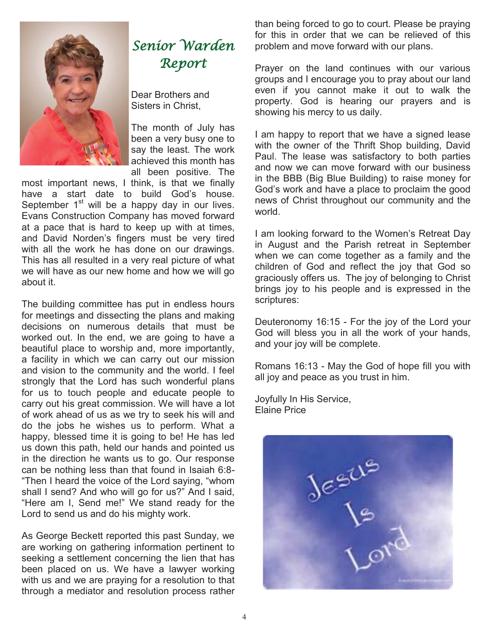

# Senior Warden Report

Dear Brothers and Sisters in Christ,

The month of July has been a very busy one to say the least. The work achieved this month has all been positive. The

most important news, I think, is that we finally have a start date to build God's house. September  $1<sup>st</sup>$  will be a happy day in our lives. Evans Construction Company has moved forward at a pace that is hard to keep up with at times, and David Norden's fingers must be very tired with all the work he has done on our drawings. This has all resulted in a very real picture of what we will have as our new home and how we will go about it.

The building committee has put in endless hours for meetings and dissecting the plans and making decisions on numerous details that must be worked out. In the end, we are going to have a beautiful place to worship and, more importantly, a facility in which we can carry out our mission and vision to the community and the world. I feel strongly that the Lord has such wonderful plans for us to touch people and educate people to carry out his great commission. We will have a lot of work ahead of us as we try to seek his will and do the jobs he wishes us to perform. What a happy, blessed time it is going to be! He has led us down this path, held our hands and pointed us in the direction he wants us to go. Our response can be nothing less than that found in Isaiah 6:8- "Then I heard the voice of the Lord saying, "whom shall I send? And who will go for us?" And I said, "Here am I, Send me!" We stand ready for the Lord to send us and do his mighty work.

As George Beckett reported this past Sunday, we are working on gathering information pertinent to seeking a settlement concerning the lien that has been placed on us. We have a lawyer working with us and we are praying for a resolution to that through a mediator and resolution process rather

than being forced to go to court. Please be praying for this in order that we can be relieved of this problem and move forward with our plans.

Prayer on the land continues with our various groups and I encourage you to pray about our land even if you cannot make it out to walk the property. God is hearing our prayers and is showing his mercy to us daily.

I am happy to report that we have a signed lease with the owner of the Thrift Shop building, David Paul. The lease was satisfactory to both parties and now we can move forward with our business in the BBB (Big Blue Building) to raise money for God's work and have a place to proclaim the good news of Christ throughout our community and the world.

I am looking forward to the Women's Retreat Day in August and the Parish retreat in September when we can come together as a family and the children of God and reflect the joy that God so graciously offers us. The joy of belonging to Christ brings joy to his people and is expressed in the scriptures:

Deuteronomy 16:15 - For the joy of the Lord your God will bless you in all the work of your hands, and your joy will be complete.

Romans 16:13 - May the God of hope fill you with all joy and peace as you trust in him.

Joyfully In His Service, Elaine Price

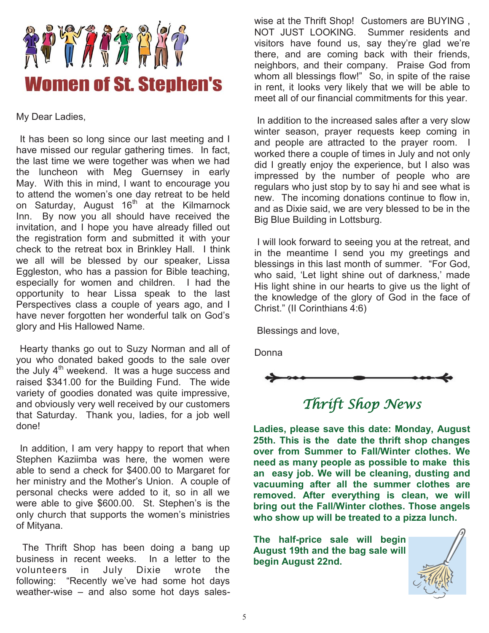

My Dear Ladies,

 It has been so long since our last meeting and I have missed our regular gathering times. In fact, the last time we were together was when we had the luncheon with Meg Guernsey in early May. With this in mind, I want to encourage you to attend the women's one day retreat to be held on Saturday, August  $16<sup>th</sup>$  at the Kilmarnock Inn. By now you all should have received the invitation, and I hope you have already filled out the registration form and submitted it with your check to the retreat box in Brinkley Hall. I think we all will be blessed by our speaker, Lissa Eggleston, who has a passion for Bible teaching, especially for women and children. I had the opportunity to hear Lissa speak to the last Perspectives class a couple of years ago, and I have never forgotten her wonderful talk on God's glory and His Hallowed Name.

 Hearty thanks go out to Suzy Norman and all of you who donated baked goods to the sale over the July  $4<sup>th</sup>$  weekend. It was a huge success and raised \$341.00 for the Building Fund. The wide variety of goodies donated was quite impressive, and obviously very well received by our customers that Saturday. Thank you, ladies, for a job well done!

 In addition, I am very happy to report that when Stephen Kaziimba was here, the women were able to send a check for \$400.00 to Margaret for her ministry and the Mother's Union. A couple of personal checks were added to it, so in all we were able to give \$600.00. St. Stephen's is the only church that supports the women's ministries of Mityana.

 The Thrift Shop has been doing a bang up business in recent weeks. In a letter to the volunteers in July Dixie wrote the following: "Recently we've had some hot days weather-wise – and also some hot days sales-

wise at the Thrift Shop! Customers are BUYING , NOT JUST LOOKING. Summer residents and visitors have found us, say they're glad we're there, and are coming back with their friends, neighbors, and their company. Praise God from whom all blessings flow!" So, in spite of the raise in rent, it looks very likely that we will be able to meet all of our financial commitments for this year.

 In addition to the increased sales after a very slow winter season, prayer requests keep coming in and people are attracted to the prayer room. I worked there a couple of times in July and not only did I greatly enjoy the experience, but I also was impressed by the number of people who are regulars who just stop by to say hi and see what is new. The incoming donations continue to flow in, and as Dixie said, we are very blessed to be in the Big Blue Building in Lottsburg.

 I will look forward to seeing you at the retreat, and in the meantime I send you my greetings and blessings in this last month of summer. "For God, who said, 'Let light shine out of darkness,' made His light shine in our hearts to give us the light of the knowledge of the glory of God in the face of Christ." (II Corinthians 4:6)

Blessings and love,

Donna



## Thrift Shop News

**Ladies, please save this date: Monday, August 25th. This is the date the thrift shop changes over from Summer to Fall/Winter clothes. We need as many people as possible to make this an easy job. We will be cleaning, dusting and vacuuming after all the summer clothes are removed. After everything is clean, we will bring out the Fall/Winter clothes. Those angels who show up will be treated to a pizza lunch.** 

**The half-price sale will begin August 19th and the bag sale will begin August 22nd.**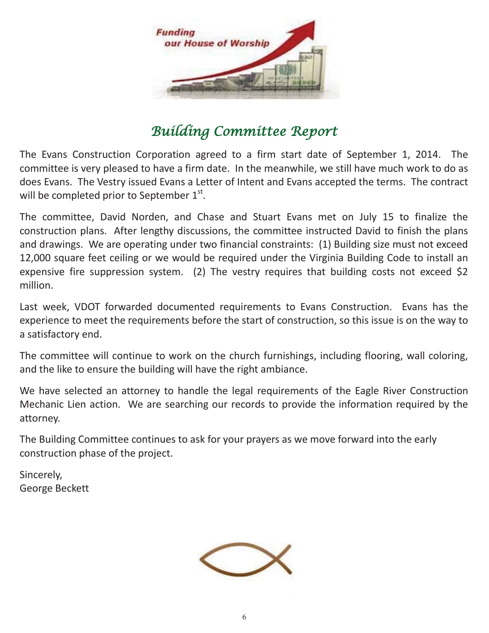

## Building Committee Report

The Evans Construction Corporation agreed to a firm start date of September 1, 2014. The committee is very pleased to have a firm date. In the meanwhile, we still have much work to do as does Evans. The Vestry issued Evans a Letter of Intent and Evans accepted the terms. The contract will be completed prior to September  $1<sup>st</sup>$ .

The committee, David Norden, and Chase and Stuart Evans met on July 15 to finalize the construction plans. After lengthy discussions, the committee instructed David to finish the plans and drawings. We are operating under two financial constraints: (1) Building size must not exceed 12,000 square feet ceiling or we would be required under the Virginia Building Code to install an expensive fire suppression system. (2) The vestry requires that building costs not exceed \$2 million.

Last week, VDOT forwarded documented requirements to Evans Construction. Evans has the experience to meet the requirements before the start of construction, so this issue is on the way to a satisfactory end.

The committee will continue to work on the church furnishings, including flooring, wall coloring, and the like to ensure the building will have the right ambiance.

We have selected an attorney to handle the legal requirements of the Eagle River Construction Mechanic Lien action. We are searching our records to provide the information required by the attorney.

The Building Committee continues to ask for your prayers as we move forward into the early construction phase of the project.

Sincerely, George Beckett

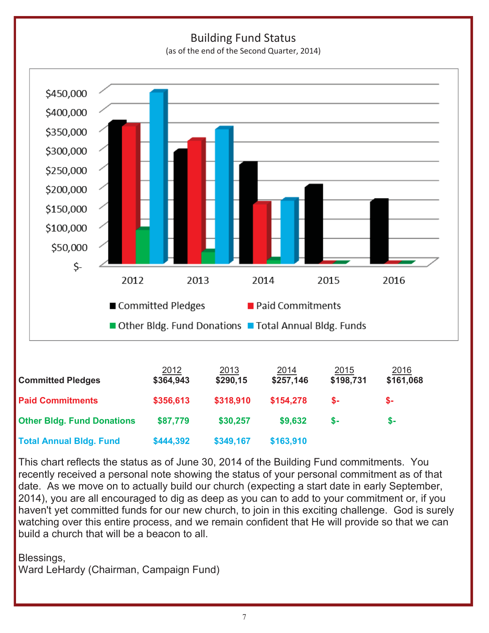

This chart reflects the status as of June 30, 2014 of the Building Fund commitments. You recently received a personal note showing the status of your personal commitment as of that date. As we move on to actually build our church (expecting a start date in early September, 2014), you are all encouraged to dig as deep as you can to add to your commitment or, if you haven't yet committed funds for our new church, to join in this exciting challenge. God is surely watching over this entire process, and we remain confident that He will provide so that we can build a church that will be a beacon to all.

#### Blessings,

Ward LeHardy (Chairman, Campaign Fund)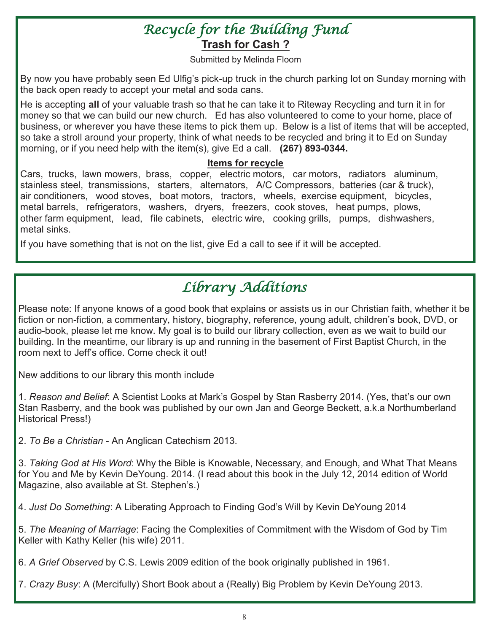## Recycle for the Building Fund **Trash for Cash ?**

Submitted by Melinda Floom

By now you have probably seen Ed Ulfig's pick-up truck in the church parking lot on Sunday morning with the back open ready to accept your metal and soda cans.

He is accepting **all** of your valuable trash so that he can take it to Riteway Recycling and turn it in for money so that we can build our new church. Ed has also volunteered to come to your home, place of business, or wherever you have these items to pick them up. Below is a list of items that will be accepted, so take a stroll around your property, think of what needs to be recycled and bring it to Ed on Sunday morning, or if you need help with the item(s), give Ed a call. **(267) 893-0344.** 

#### **Items for recycle**

Cars, trucks, lawn mowers, brass, copper, electric motors, car motors, radiators aluminum, stainless steel, transmissions, starters, alternators, A/C Compressors, batteries (car & truck), air conditioners, wood stoves, boat motors, tractors, wheels, exercise equipment, bicycles, metal barrels, refrigerators, washers, dryers, freezers, cook stoves, heat pumps, plows, other farm equipment, lead, file cabinets, electric wire, cooking grills, pumps, dishwashers, metal sinks.

If you have something that is not on the list, give Ed a call to see if it will be accepted.

# Library Additions

Please note: If anyone knows of a good book that explains or assists us in our Christian faith, whether it be fiction or non-fiction, a commentary, history, biography, reference, young adult, children's book, DVD, or audio-book, please let me know. My goal is to build our library collection, even as we wait to build our building. In the meantime, our library is up and running in the basement of First Baptist Church, in the room next to Jeff's office. Come check it out!

New additions to our library this month include

1. *Reason and Belief*: A Scientist Looks at Mark's Gospel by Stan Rasberry 2014. (Yes, that's our own Stan Rasberry, and the book was published by our own Jan and George Beckett, a.k.a Northumberland Historical Press!)

2. *To Be a Christian* - An Anglican Catechism 2013.

3. *Taking God at His Word*: Why the Bible is Knowable, Necessary, and Enough, and What That Means for You and Me by Kevin DeYoung. 2014. (I read about this book in the July 12, 2014 edition of World Magazine, also available at St. Stephen's.)

4. *Just Do Something*: A Liberating Approach to Finding God's Will by Kevin DeYoung 2014

5. *The Meaning of Marriage*: Facing the Complexities of Commitment with the Wisdom of God by Tim Keller with Kathy Keller (his wife) 2011.

6. *A Grief Observed* by C.S. Lewis 2009 edition of the book originally published in 1961.

7. *Crazy Busy*: A (Mercifully) Short Book about a (Really) Big Problem by Kevin DeYoung 2013.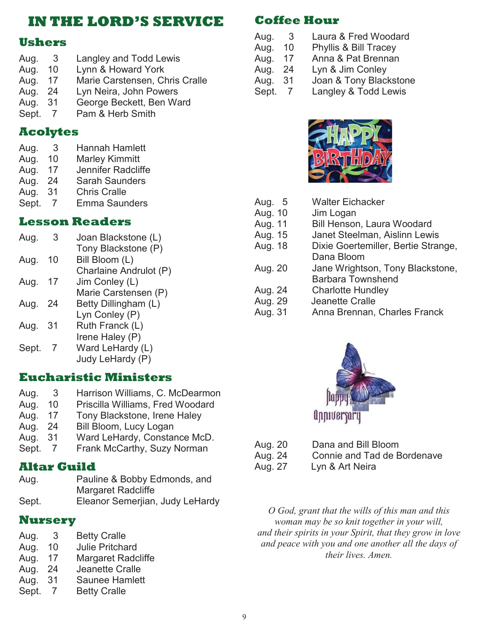### **IN THE LORD'S SERVICE**

#### **Ushers**

| Aug.    | 3  | Langley and Todd Lewis         |
|---------|----|--------------------------------|
| Aug.    | 10 | Lynn & Howard York             |
| Aug.    | 17 | Marie Carstensen, Chris Cralle |
| Aug.    | 24 | Lyn Neira, John Powers         |
| Aug. 31 |    | George Beckett, Ben Ward       |
|         |    |                                |

Sept. 7 Pam & Herb Smith

### **Acolytes**

| ົ<br>Aug.<br>3. | <b>Hannah Hamlett</b> |
|-----------------|-----------------------|
|-----------------|-----------------------|

- Aug. 10 Marley Kimmitt
- Aug. 17 Jennifer Radcliffe
- Aug. 24 Sarah Saunders
- Aug. 31 Chris Cralle
- Sept. 7 Emma Saunders

### **Lesson Readers**

| Aug.  | 3    | Joan Blackstone (L)    |
|-------|------|------------------------|
|       |      | Tony Blackstone (P)    |
| Aug.  | 10   | Bill Bloom (L)         |
|       |      | Charlaine Andrulot (P) |
| Aug.  | 17   | Jim Conley (L)         |
|       |      | Marie Carstensen (P)   |
| Aug.  | - 24 | Betty Dillingham (L)   |
|       |      | Lyn Conley (P)         |
| Aug.  | 31   | Ruth Franck (L)        |
|       |      | Irene Haley (P)        |
| Sept. |      | Ward LeHardy (L)       |
|       |      | Judy LeHardy (P)       |
|       |      |                        |

### **Eucharistic Ministers**

- Aug. 3 Harrison Williams, C. McDearmon
- Aug. 10 Priscilla Williams, Fred Woodard
- Aug. 17 Tony Blackstone, Irene Haley
- Aug. 24 Bill Bloom, Lucy Logan
- Aug. 31 Ward LeHardy, Constance McD.
- Sept. 7 Frank McCarthy, Suzy Norman

### **Altar Guild**

Aug. Pauline & Bobby Edmonds, and Margaret Radcliffe Sept. Eleanor Semerjian, Judy LeHardy

### **Nursery**

| Aug.  | 3  | <b>Betty Cralle</b>       |
|-------|----|---------------------------|
| Aug.  | 10 | <b>Julie Pritchard</b>    |
| Aug.  | 17 | <b>Margaret Radcliffe</b> |
| Aug.  | 24 | Jeanette Cralle           |
| Aug.  | 31 | Saunee Hamlett            |
| Sept. |    | <b>Betty Cralle</b>       |

### **Coffee Hour**

- Aug. 3 Laura & Fred Woodard
- Aug. 10 Phyllis & Bill Tracey
- Aug. 17 Anna & Pat Brennan
- Aug. 24 Lyn & Jim Conley
- Aug. 31 Joan & Tony Blackstone
- Sept. 7 Langley & Todd Lewis



| Aug. 5  | <b>Walter Eichacker</b>             |
|---------|-------------------------------------|
| Aug. 10 | Jim Logan                           |
| Aug. 11 | <b>Bill Henson, Laura Woodard</b>   |
| Aug. 15 | Janet Steelman, Aislinn Lewis       |
| Aug. 18 | Dixie Goertemiller, Bertie Strange, |
|         | Dana Bloom                          |
| Aug. 20 | Jane Wrightson, Tony Blackstone,    |
|         | <b>Barbara Townshend</b>            |
| Aug. 24 | <b>Charlotte Hundley</b>            |
| Aug. 29 | Jeanette Cralle                     |
| Aug. 31 | Anna Brennan, Charles Franck        |
|         |                                     |



- Aug. 20 Dana and Bill Bloom Aug. 24 Connie and Tad de Bordenave
- Aug. 27 Lyn & Art Neira

*O God, grant that the wills of this man and this woman may be so knit together in your will, and their spirits in your Spirit, that they grow in love and peace with you and one another all the days of their lives. Amen.*